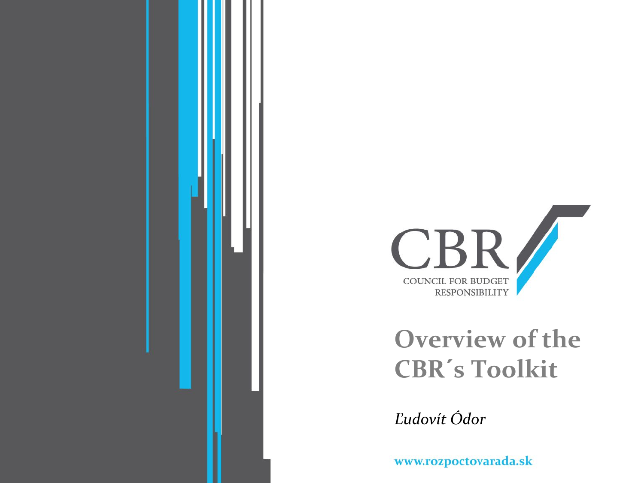



#### **Overview of the CBR´s Toolkit**

*Ľudovít Ódor*

www.rozpoctovarada.sk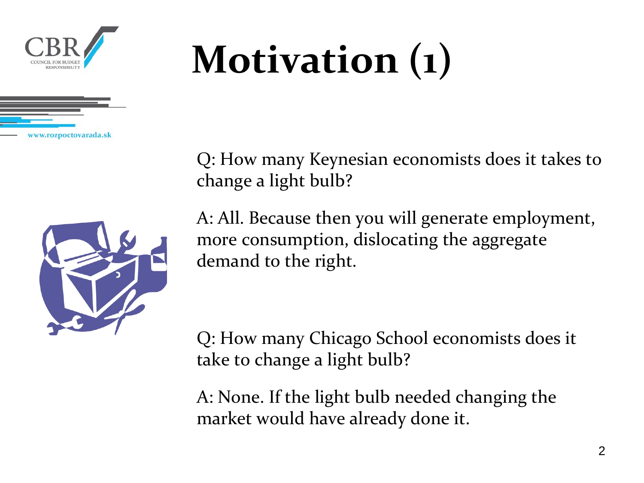

### **Motivation (1)**

Q: How many Keynesian economists does it takes to change a light bulb?



A: All. Because then you will generate employment, more consumption, dislocating the aggregate demand to the right.

Q: How many Chicago School economists does it take to change a light bulb?

A: None. If the light bulb needed changing the market would have already done it.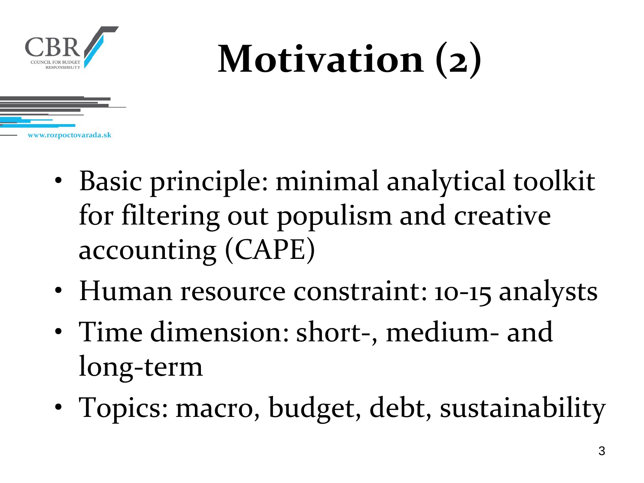

#### **Motivation (2)**



- Basic principle: minimal analytical toolkit for filtering out populism and creative accounting (CAPE)
- Human resource constraint: 10-15 analysts
- Time dimension: short-, medium- and long-term
- Topics: macro, budget, debt, sustainability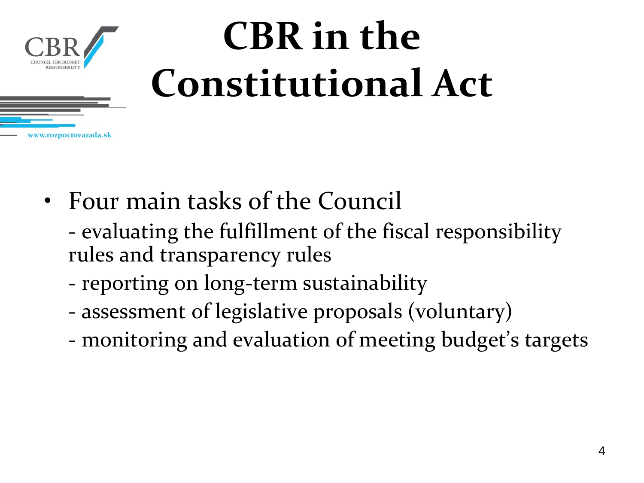

#### **CBR in the Constitutional Act**

- Four main tasks of the Council
	- evaluating the fulfillment of the fiscal responsibility rules and transparency rules
	- reporting on long-term sustainability
	- assessment of legislative proposals (voluntary)
	- monitoring and evaluation of meeting budget's targets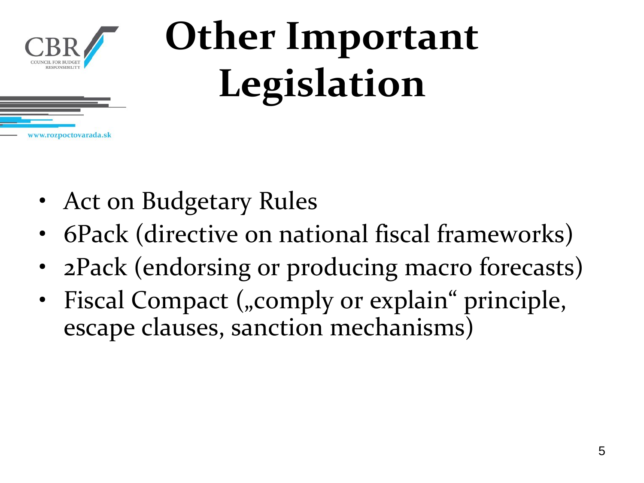

#### **Other Important Legislation**

- Act on Budgetary Rules
- 6Pack (directive on national fiscal frameworks)
- 2Pack (endorsing or producing macro forecasts)
- Fiscal Compact ("comply or explain" principle, escape clauses, sanction mechanisms)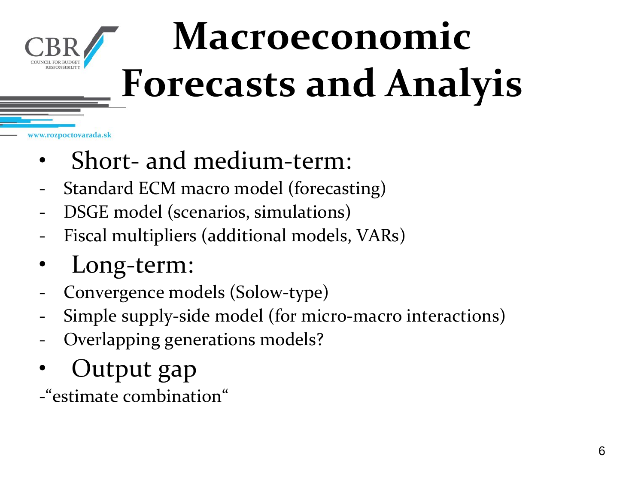

# **Macroeconomic Forecasts and Analyis**

- Short- and medium-term:
- Standard ECM macro model (forecasting)
- DSGE model (scenarios, simulations)
- Fiscal multipliers (additional models, VARs)
- Long-term:
- Convergence models (Solow-type)
- Simple supply-side model (for micro-macro interactions)
- Overlapping generations models?
- Output gap

-"estimate combination"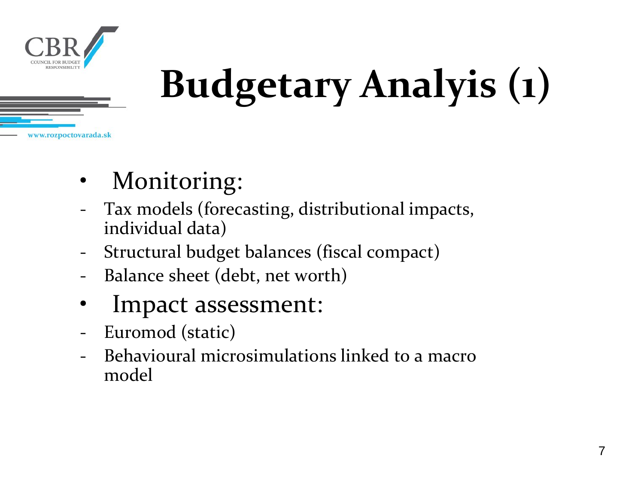

# **Budgetary Analyis (1)**

- Monitoring:
- Tax models (forecasting, distributional impacts, individual data)
- Structural budget balances (fiscal compact)
- Balance sheet (debt, net worth)
- Impact assessment:
- Euromod (static)
- Behavioural microsimulations linked to a macro model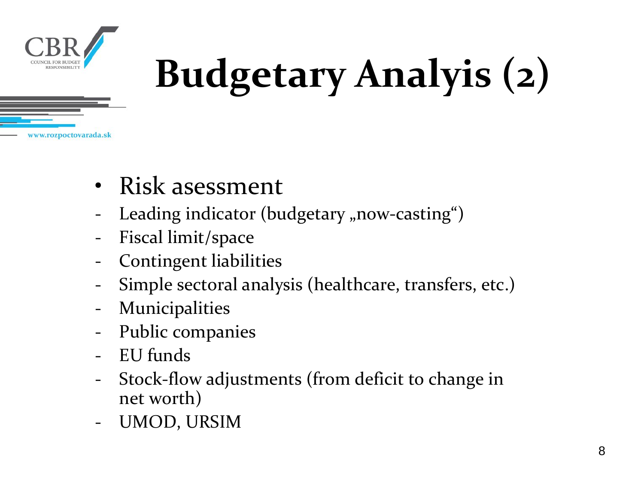

# **Budgetary Analyis (2)**

- Risk asessment
- Leading indicator (budgetary "now-casting")
- Fiscal limit/space
- Contingent liabilities
- Simple sectoral analysis (healthcare, transfers, etc.)
- **Municipalities**
- Public companies
- EU funds
- Stock-flow adjustments (from deficit to change in net worth)
- UMOD, URSIM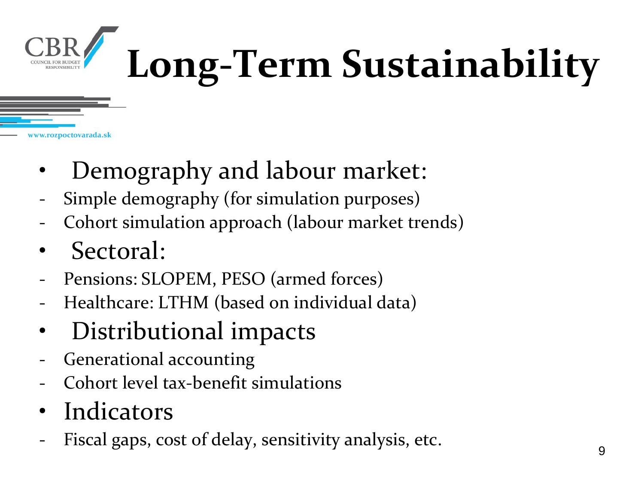

# **Long-Term Sustainability**

- Demography and labour market:
- Simple demography (for simulation purposes)
- Cohort simulation approach (labour market trends)
- Sectoral:
- Pensions: SLOPEM, PESO (armed forces)
- Healthcare: LTHM (based on individual data)
- Distributional impacts
- Generational accounting
- Cohort level tax-benefit simulations
- **Indicators**
- Fiscal gaps, cost of delay, sensitivity analysis, etc.